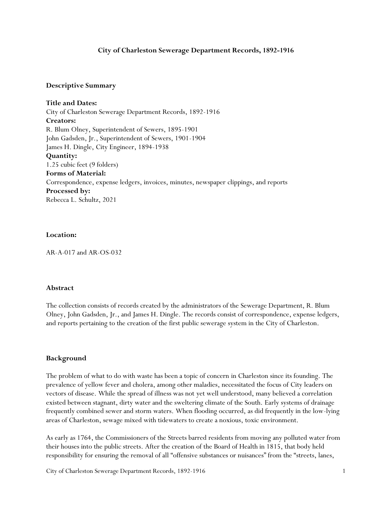### **City of Charleston Sewerage Department Records, 1892-1916**

### **Descriptive Summary**

**Title and Dates:** City of Charleston Sewerage Department Records, 1892-1916 **Creators:** R. Blum Olney, Superintendent of Sewers, 1895-1901 John Gadsden, Jr., Superintendent of Sewers, 1901-1904 James H. Dingle, City Engineer, 1894-1938 **Quantity:** 1.25 cubic feet (9 folders) **Forms of Material:** Correspondence, expense ledgers, invoices, minutes, newspaper clippings, and reports **Processed by:** Rebecca L. Schultz, 2021

### **Location:**

AR-A-017 and AR-OS-032

#### **Abstract**

The collection consists of records created by the administrators of the Sewerage Department, R. Blum Olney, John Gadsden, Jr., and James H. Dingle. The records consist of correspondence, expense ledgers, and reports pertaining to the creation of the first public sewerage system in the City of Charleston.

#### **Background**

The problem of what to do with waste has been a topic of concern in Charleston since its founding. The prevalence of yellow fever and cholera, among other maladies, necessitated the focus of City leaders on vectors of disease. While the spread of illness was not yet well understood, many believed a correlation existed between stagnant, dirty water and the sweltering climate of the South. Early systems of drainage frequently combined sewer and storm waters. When flooding occurred, as did frequently in the low-lying areas of Charleston, sewage mixed with tidewaters to create a noxious, toxic environment.

As early as 1764, the Commissioners of the Streets barred residents from moving any polluted water from their houses into the public streets. After the creation of the Board of Health in 1815, that body held responsibility for ensuring the removal of all "offensive substances or nuisances" from the "streets, lanes,

City of Charleston Sewerage Department Records, 1892-1916 1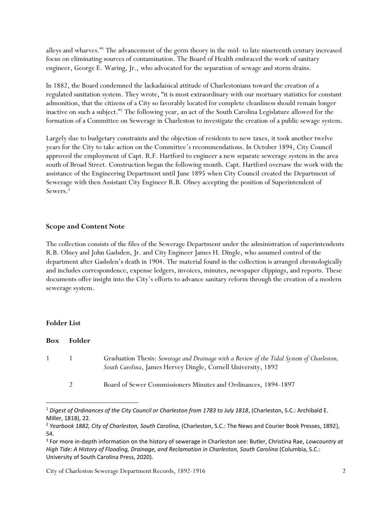alleys and wharves."<sup>1</sup> The advancement of the germ theory in the mid- to late nineteenth century increased focus on eliminating sources of contamination. The Board of Health embraced the work of sanitary engineer, George E. Waring,  $[r, \omega]$ , who advocated for the separation of sewage and storm drains.

In 1882, the Board condemned the lackadaisical attitude of Charlestonians toward the creation of a regulated sanitation system. They wrote, "it is most extraordinary with our mortuary statistics for constant admonition, that the citizens of a City so favorably located for complete cleanliness should remain longer inactive on such a subject."<sup>2</sup> The following year, an act of the South Carolina Legislature allowed for the formation of a Committee on Sewerage in Charleston to investigate the creation of a public sewage system.

Largely due to budgetary constraints and the objection of residents to new taxes, it took another twelve years for the City to take action on the Committee's recommendations. In October 1894, City Council approved the employment of Capt. R.F. Hartford to engineer a new separate sewerage system in the area south of Broad Street. Construction began the following month. Capt. Hartford oversaw the work with the assistance of the Engineering Department until June 1895 when City Council created the Department of Sewerage with then Assistant City Engineer R.B. Olney accepting the position of Superintendent of Sewers.<sup>3</sup>

# **Scope and Content Note**

The collection consists of the files of the Sewerage Department under the administration of superintendents R.B. Olney and John Gadsden, Jr. and City Engineer James H. Dingle, who assumed control of the department after Gadsden's death in 1904. The material found in the collection is arranged chronologically and includes correspondence, expense ledgers, invoices, minutes, newspaper clippings, and reports. These documents offer insight into the City's efforts to advance sanitary reform through the creation of a modern sewerage system.

## **Folder List**

 $\overline{\phantom{a}}$ 

| <b>Box</b> | <b>Folder</b> |                                                                                                                                                            |
|------------|---------------|------------------------------------------------------------------------------------------------------------------------------------------------------------|
| $1 \quad$  |               | Graduation Thesis: Sewerage and Drainage with a Review of the Tidal System of Charleston,<br>South Carolina, James Hervey Dingle, Cornell University, 1892 |
|            |               | Board of Sewer Commissioners Minutes and Ordinances, 1894-1897                                                                                             |

<sup>1</sup> *Digest of Ordinances of the City Council or Charleston from 1783 to July 1818*, (Charleston, S.C.: Archibald E. Miller, 1818), 22.

<sup>2</sup> *Yearbook 1882, City of Charleston, South Carolina*, (Charleston, S.C.: The News and Courier Book Presses, 1892), 54.

<sup>3</sup> For more in-depth information on the history of sewerage in Charleston see: Butler, Christina Rae, *Lowcountry at High Tide: A History of Flooding, Drainage, and Reclamation in Charleston, South Carolina* (Columbia, S.C.: University of South Carolina Press, 2020).

City of Charleston Sewerage Department Records, 1892-1916 2